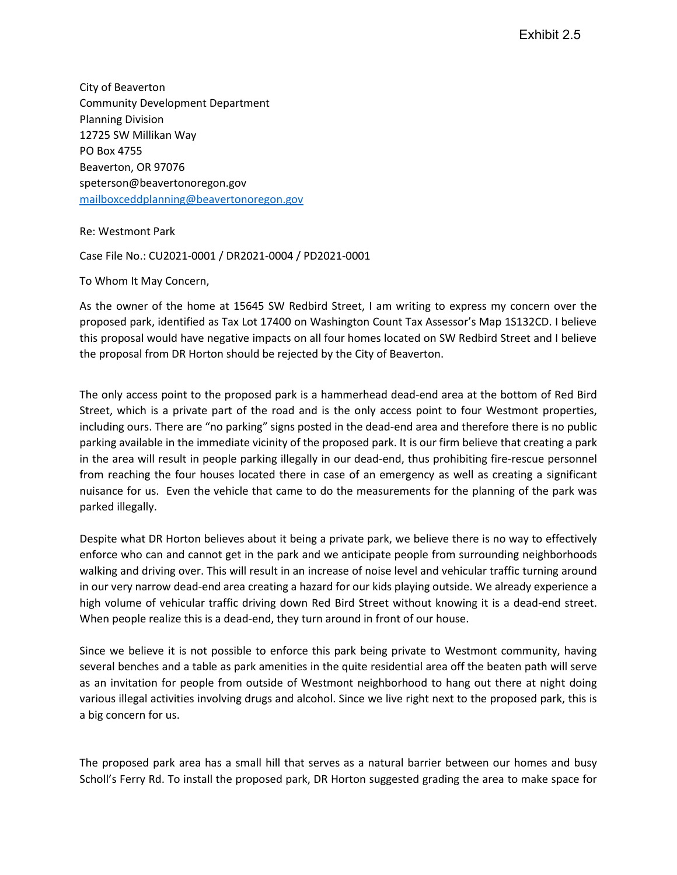City of Beaverton Community Development Department Planning Division 12725 SW Millikan Way PO Box 4755 Beaverton, OR 97076 [speterson@beavertonoregon.gov](mailto:speterson@beavertonoregon.gov) [mailboxceddplanning@beavertonoregon.gov](mailto:mailboxceddplanning@beavertonoregon.gov)

Re: Westmont Park

Case File No.: CU2021-0001 / DR2021-0004 / PD2021-0001

To Whom It May Concern,

As the owner of the home at 15645 SW Redbird Street, I am writing to express my concern over the proposed park, identified as Tax Lot 17400 on Washington Count Tax Assessor's Map 1S132CD. I believe this proposal would have negative impacts on all four homes located on SW Redbird Street and I believe the proposal from DR Horton should be rejected by the City of Beaverton.

The only access point to the proposed park is a hammerhead dead-end area at the bottom of Red Bird Street, which is a private part of the road and is the only access point to four Westmont properties, including ours. There are "no parking" signs posted in the dead-end area and therefore there is no public parking available in the immediate vicinity of the proposed park. It is our firm believe that creating a park in the area will result in people parking illegally in our dead-end, thus prohibiting fire-rescue personnel from reaching the four houses located there in case of an emergency as well as creating a significant nuisance for us. Even the vehicle that came to do the measurements for the planning of the park was parked illegally.

Despite what DR Horton believes about it being a private park, we believe there is no way to effectively enforce who can and cannot get in the park and we anticipate people from surrounding neighborhoods walking and driving over. This will result in an increase of noise level and vehicular traffic turning around in our very narrow dead-end area creating a hazard for our kids playing outside. We already experience a high volume of vehicular traffic driving down Red Bird Street without knowing it is a dead-end street. When people realize this is a dead-end, they turn around in front of our house.

Since we believe it is not possible to enforce this park being private to Westmont community, having several benches and a table as park amenities in the quite residential area off the beaten path will serve as an invitation for people from outside of Westmont neighborhood to hang out there at night doing various illegal activities involving drugs and alcohol. Since we live right next to the proposed park, this is a big concern for us.

The proposed park area has a small hill that serves as a natural barrier between our homes and busy Scholl's Ferry Rd. To install the proposed park, DR Horton suggested grading the area to make space for